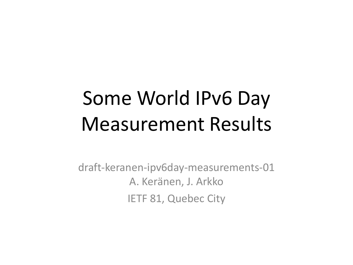# Some World IPv6 Day Measurement Results

draft-keranen-ipv6day-measurements-01 A. Keränen, J. Arkko IETF 81, Quebec City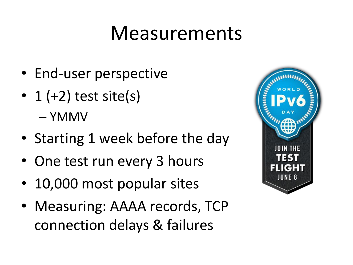#### Measurements

- End-user perspective
- 1  $(+2)$  test site(s) – YMMV
- Starting 1 week before the day
- One test run every 3 hours
- 10,000 most popular sites
- Measuring: AAAA records, TCP connection delays & failures

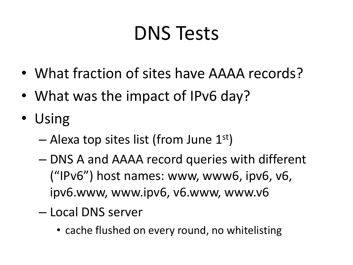# DNS Tests

- What fraction of sites have AAAA records?
- What was the impact of IPv6 day?
- Using
	- $-$  Alexa top sites list (from June  $1<sup>st</sup>$ )
	- DNS A and AAAA record queries with different ("IPv6") host names: www, www6, ipv6, v6, ipv6.www, www.ipv6, v6.www, www.v6
	- Local DNS server
		- cache flushed on every round, no whitelisting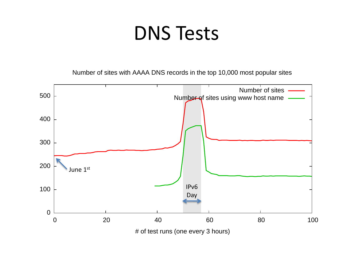### DNS Tests

Number of sites with AAAA DNS records in the top 10,000 most popular sites

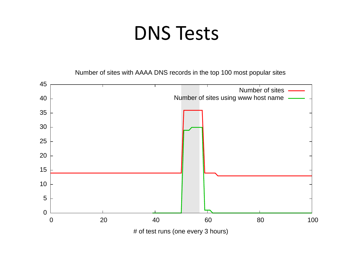### DNS Tests

Number of sites with AAAA DNS records in the top 100 most popular sites

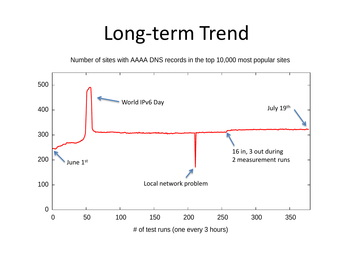#### Long-term Trend

Number of sites with AAAA DNS records in the top 10,000 most popular sites

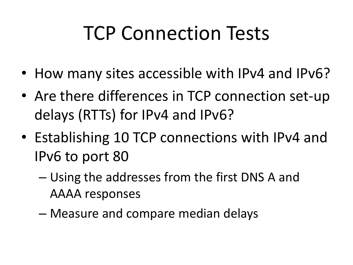# TCP Connection Tests

- How many sites accessible with IPv4 and IPv6?
- Are there differences in TCP connection set-up delays (RTTs) for IPv4 and IPv6?
- Establishing 10 TCP connections with IPv4 and IPv6 to port 80
	- Using the addresses from the first DNS A and AAAA responses
	- Measure and compare median delays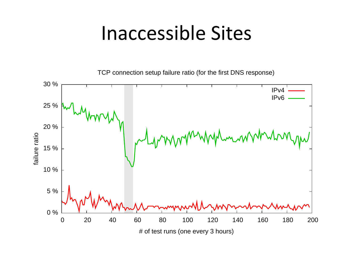#### Inaccessible Sites

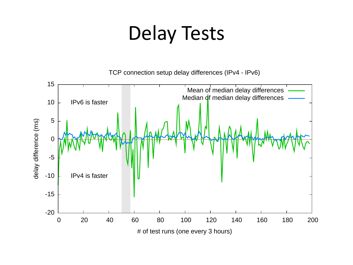### Delay Tests

TCP connection setup delay differences (IPv4 - IPv6)